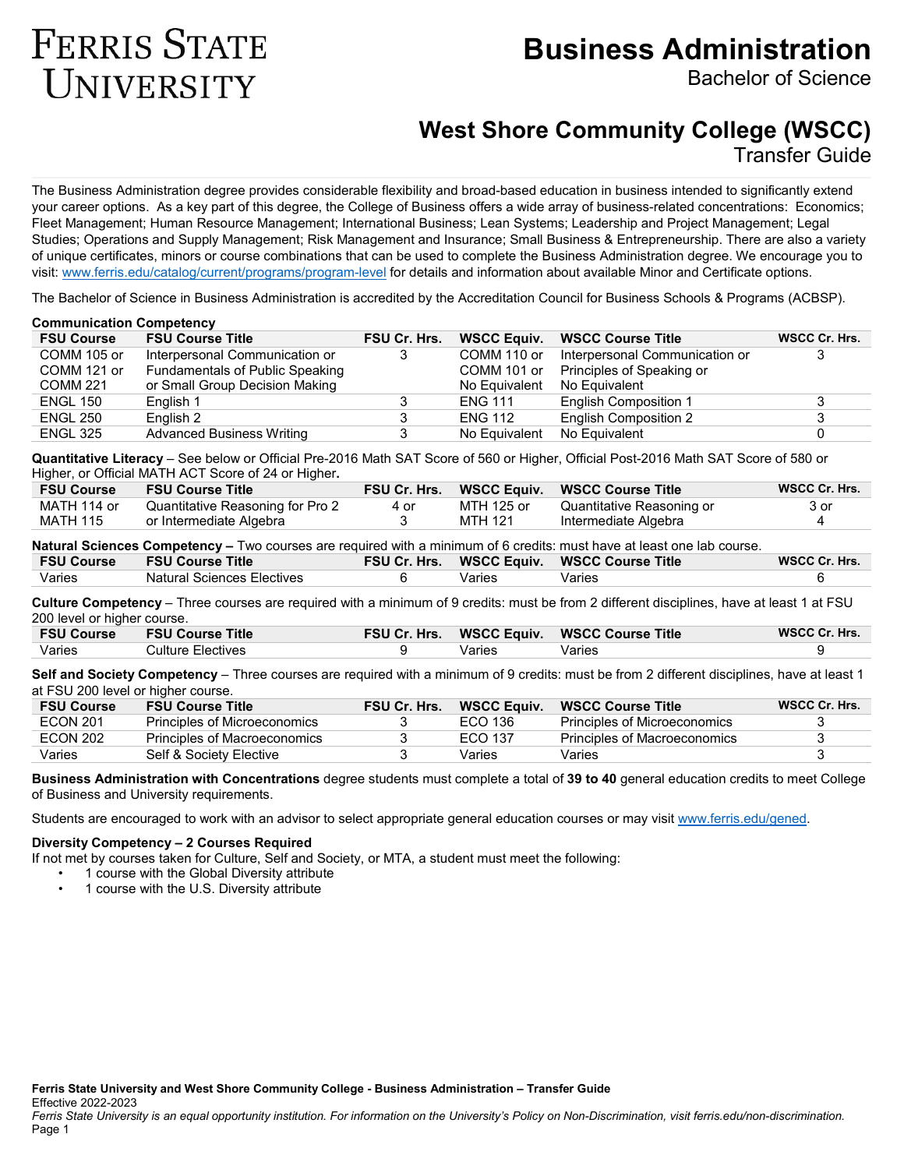# **Business Administration**

Bachelor of Science

# **West Shore Community College (WSCC)**

Transfer Guide

The Business Administration degree provides considerable flexibility and broad-based education in business intended to significantly extend your career options. As a key part of this degree, the College of Business offers a wide array of business-related concentrations: Economics; Fleet Management; Human Resource Management; International Business; Lean Systems; Leadership and Project Management; Legal Studies; Operations and Supply Management; Risk Management and Insurance; Small Business & Entrepreneurship. There are also a variety of unique certificates, minors or course combinations that can be used to complete the Business Administration degree. We encourage you to visit: [www.ferris.edu/catalog/current/programs/program-level](http://www.ferris.edu/catalog/current/programs/program-level) for details and information about available Minor and Certificate options.

The Bachelor of Science in Business Administration is accredited by the Accreditation Council for Business Schools & Programs (ACBSP).

#### **Communication Competency FSU Course FSU Course Title FSU Cr. Hrs. WSCC Equiv. WSCC Course Title WSCC Cr. Hrs.** COMM 105 or COMM 121 or COMM 221 Interpersonal Communication or Fundamentals of Public Speaking or Small Group Decision Making 3 COMM 110 or COMM 101 or No Equivalent Interpersonal Communication or Principles of Speaking or No Equivalent 3 ENGL 150 English 1 3 ENG 111 English Composition 1 3 ENGL 250 English 2 3 ENG 112 English Composition 2 3 ENGL 325 Advanced Business Writing 3 No Equivalent No Equivalent 0

**Quantitative Literacy** – See below or Official Pre-2016 Math SAT Score of 560 or Higher, Official Post-2016 Math SAT Score of 580 or Higher, or Official MATH ACT Score of 24 or Higher**.**

| <b>FSU Course</b> | <b>FSU Course Title</b>          |      |            | FSU Cr. Hrs. WSCC Equiv. WSCC Course Title | WSCC Cr. Hrs. |
|-------------------|----------------------------------|------|------------|--------------------------------------------|---------------|
| MATH 114 or       | Quantitative Reasoning for Pro 2 | 4 or | MTH 125 or | Quantitative Reasoning or                  | 3 or          |
| MATH 115          | or Intermediate Algebra          |      | MTH 121    | Intermediate Algebra                       |               |

**Natural Sciences Competency –** Two courses are required with a minimum of 6 credits: must have at least one lab course.

| Varies | Natural Sciences Electives | Varies | Varies |  |
|--------|----------------------------|--------|--------|--|

**Culture Competency** – Three courses are required with a minimum of 9 credits: must be from 2 different disciplines, have at least 1 at FSU 200 level or higher course.

| <b>FSU Course</b> | <b>FSU Course Title</b> |        | FSU Cr. Hrs. WSCC Equiv. WSCC Course Title | WSCC Cr. Hrs. |
|-------------------|-------------------------|--------|--------------------------------------------|---------------|
| Varies            | Culture Electives       | Varies | Varies                                     |               |

**Self and Society Competency** – Three courses are required with a minimum of 9 credits: must be from 2 different disciplines, have at least 1 at FSU 200 level or higher course.

| <b>FSU Course</b> | <b>FSU Course Title</b>      | <b>FSU Cr. Hrs.</b> | <b>WSCC Equiv.</b> | <b>WSCC Course Title</b>            | WSCC Cr. Hrs. |
|-------------------|------------------------------|---------------------|--------------------|-------------------------------------|---------------|
| <b>ECON 201</b>   | Principles of Microeconomics |                     | ECO 136            | <b>Principles of Microeconomics</b> |               |
| <b>ECON 202</b>   | Principles of Macroeconomics |                     | ECO 137            | Principles of Macroeconomics        |               |
| Varies            | Self & Society Elective      |                     | Varies             | Varies                              |               |

**Business Administration with Concentrations** degree students must complete a total of **39 to 40** general education credits to meet College of Business and University requirements.

Students are encouraged to work with an advisor to select appropriate general education courses or may visit [www.ferris.edu/gened.](http://www.ferris.edu/gened)

### **Diversity Competency – 2 Courses Required**

**FERRIS STATE** 

UNIVERSITY

If not met by courses taken for Culture, Self and Society, or MTA, a student must meet the following:

- 1 course with the Global Diversity attribute
- 1 course with the U.S. Diversity attribute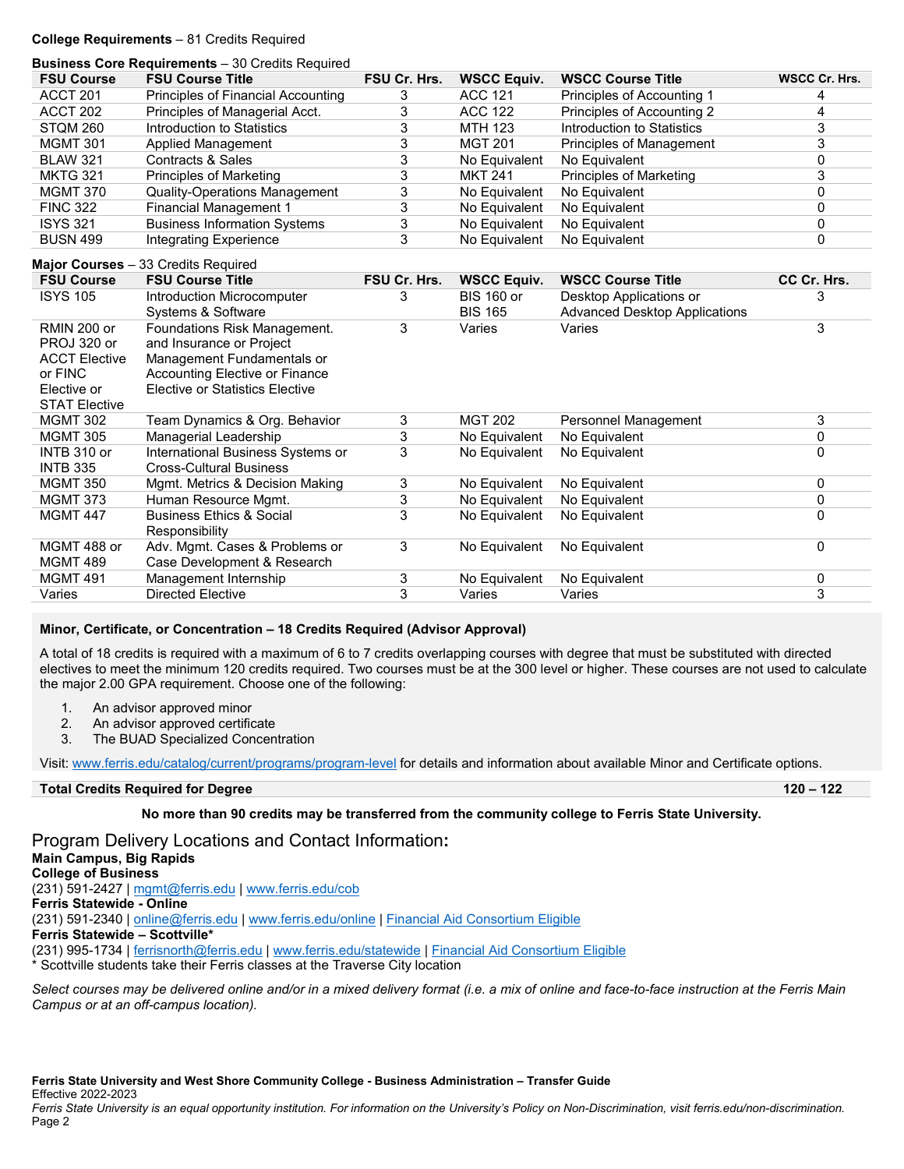#### **College Requirements** – 81 Credits Required

|                      | <b>Business Core Requirements</b> - 30 Credits Required |                |                    |                                      |                      |
|----------------------|---------------------------------------------------------|----------------|--------------------|--------------------------------------|----------------------|
| <b>FSU Course</b>    | <b>FSU Course Title</b>                                 | FSU Cr. Hrs.   | <b>WSCC Equiv.</b> | <b>WSCC Course Title</b>             | <b>WSCC Cr. Hrs.</b> |
| ACCT <sub>201</sub>  | Principles of Financial Accounting                      | 3              | <b>ACC 121</b>     | Principles of Accounting 1           | 4                    |
| ACCT <sub>202</sub>  | Principles of Managerial Acct.                          | 3              | <b>ACC 122</b>     | Principles of Accounting 2           | 4                    |
| STQM 260             | Introduction to Statistics                              | 3              | <b>MTH 123</b>     | Introduction to Statistics           | $\overline{3}$       |
| <b>MGMT 301</b>      | <b>Applied Management</b>                               | 3              | <b>MGT 201</b>     | Principles of Management             | 3                    |
| <b>BLAW 321</b>      | <b>Contracts &amp; Sales</b>                            | 3              | No Equivalent      | No Equivalent                        | 0                    |
| <b>MKTG 321</b>      | Principles of Marketing                                 | 3              | <b>MKT 241</b>     | <b>Principles of Marketing</b>       | 3                    |
| <b>MGMT 370</b>      | <b>Quality-Operations Management</b>                    | 3              | No Equivalent      | No Equivalent                        | 0                    |
| <b>FINC 322</b>      | <b>Financial Management 1</b>                           | 3              | No Equivalent      | No Equivalent                        | 0                    |
| <b>ISYS 321</b>      | <b>Business Information Systems</b>                     | 3              | No Equivalent      | No Equivalent                        | 0                    |
| <b>BUSN 499</b>      | <b>Integrating Experience</b>                           | 3              | No Equivalent      | No Equivalent                        | 0                    |
|                      | Major Courses - 33 Credits Required                     |                |                    |                                      |                      |
| <b>FSU Course</b>    | <b>FSU Course Title</b>                                 | FSU Cr. Hrs.   | <b>WSCC Equiv.</b> | <b>WSCC Course Title</b>             | CC Cr. Hrs.          |
| <b>ISYS 105</b>      | Introduction Microcomputer                              | 3              | <b>BIS 160 or</b>  | Desktop Applications or              | 3                    |
|                      | Systems & Software                                      |                | <b>BIS 165</b>     | <b>Advanced Desktop Applications</b> |                      |
| <b>RMIN 200 or</b>   | Foundations Risk Management.                            | 3              | Varies             | Varies                               | 3                    |
| PROJ 320 or          | and Insurance or Project                                |                |                    |                                      |                      |
| <b>ACCT Elective</b> | Management Fundamentals or                              |                |                    |                                      |                      |
| or FINC              | <b>Accounting Elective or Finance</b>                   |                |                    |                                      |                      |
| Elective or          | Elective or Statistics Elective                         |                |                    |                                      |                      |
| <b>STAT Elective</b> |                                                         |                |                    |                                      |                      |
| <b>MGMT 302</b>      | Team Dynamics & Org. Behavior                           | 3              | <b>MGT 202</b>     | Personnel Management                 | 3                    |
| <b>MGMT 305</b>      | Managerial Leadership                                   | 3              | No Equivalent      | No Equivalent                        | $\mathbf 0$          |
| INTB 310 or          | International Business Systems or                       | $\overline{3}$ | No Equivalent      | No Equivalent                        | 0                    |
| <b>INTB 335</b>      | <b>Cross-Cultural Business</b>                          |                |                    |                                      |                      |
| <b>MGMT 350</b>      | Mgmt. Metrics & Decision Making                         | 3              | No Equivalent      | No Equivalent                        | 0                    |
| <b>MGMT 373</b>      | Human Resource Mgmt.                                    | 3              | No Equivalent      | No Equivalent                        | $\mathbf 0$          |
| <b>MGMT 447</b>      | <b>Business Ethics &amp; Social</b>                     | 3              | No Equivalent      | No Equivalent                        | $\mathbf 0$          |
|                      | Responsibility                                          |                |                    |                                      |                      |
| MGMT 488 or          | Adv. Mgmt. Cases & Problems or                          | 3              | No Equivalent      | No Equivalent                        | $\mathbf 0$          |
| <b>MGMT 489</b>      | Case Development & Research                             |                |                    |                                      |                      |
| <b>MGMT 491</b>      | Management Internship                                   | 3              | No Equivalent      | No Equivalent                        | 0                    |
| Varies               | <b>Directed Elective</b>                                | 3              | Varies             | Varies                               | 3                    |

#### **Minor, Certificate, or Concentration – 18 Credits Required (Advisor Approval)**

A total of 18 credits is required with a maximum of 6 to 7 credits overlapping courses with degree that must be substituted with directed electives to meet the minimum 120 credits required. Two courses must be at the 300 level or higher. These courses are not used to calculate the major 2.00 GPA requirement. Choose one of the following:

- 1. An advisor approved minor
- 2. An advisor approved certificate
- 3. The BUAD Specialized Concentration

Visit: [www.ferris.edu/catalog/current/programs/program-level](http://www.ferris.edu/catalog/current/programs/program-level) for details and information about available Minor and Certificate options.

## **Total Credits Required for Degree 120 – 122**

**No more than 90 credits may be transferred from the community college to Ferris State University.**

Program Delivery Locations and Contact Information**: Main Campus, Big Rapids College of Business** (231) 591-2427 [| mgmt@ferris.edu](mailto:mgmt@ferris.edu) | [www.ferris.edu/cob](http://www.ferris.edu/cob) **Ferris Statewide - Online** (231) 591-2340 [| online@ferris.edu](mailto:online@ferris.edu) [| www.ferris.edu/online](http://www.ferris.edu/online) | [Financial Aid Consortium Eligible](https://www.ferris.edu/admissions/financialaid/consortiumarrangements.htm) **Ferris Statewide – Scottville\*** (231) 995-1734 [| ferrisnorth@ferris.edu](mailto:ferrisnorth@ferris.edu) | [www.ferris.edu/statewide](http://www.ferris.edu/statewide) | [Financial Aid Consortium Eligible](https://www.ferris.edu/admissions/financialaid/consortiumarrangements.htm) \* Scottville students take their Ferris classes at the Traverse City location

*Select courses may be delivered online and/or in a mixed delivery format (i.e. a mix of online and face-to-face instruction at the Ferris Main Campus or at an off-campus location).*